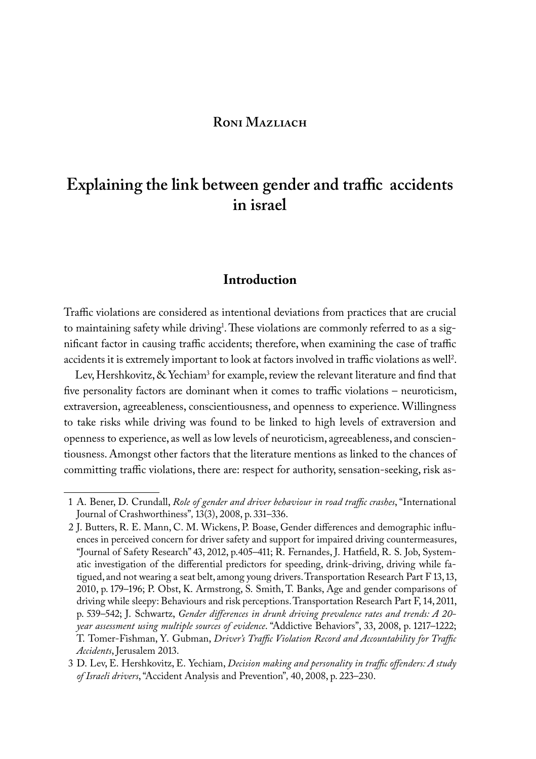## **Roni Mazliach**

# **Explaining the link between gender and traffic accidents in israel**

# **Introduction**

Traffic violations are considered as intentional deviations from practices that are crucial to maintaining safety while driving<sup>1</sup>. These violations are commonly referred to as a significant factor in causing traffic accidents; therefore, when examining the case of traffic accidents it is extremely important to look at factors involved in traffic violations as well<sup>2</sup>.

Lev, Hershkovitz, & Yechiam<sup>3</sup> for example, review the relevant literature and find that five personality factors are dominant when it comes to traffic violations – neuroticism, extraversion, agreeableness, conscientiousness, and openness to experience. Willingness to take risks while driving was found to be linked to high levels of extraversion and openness to experience, as well as low levels of neuroticism, agreeableness, and conscientiousness. Amongst other factors that the literature mentions as linked to the chances of committing traffic violations, there are: respect for authority, sensation-seeking, risk as-

<sup>1</sup> A. Bener, D. Crundall, *Role of gender and driver behaviour in road traffic crashes*, "International Journal of Crashworthiness"*,* 13(3), 2008, p. 331–336.

<sup>2</sup> J. Butters, R. E. Mann, C. M. Wickens, P. Boase, Gender differences and demographic influences in perceived concern for driver safety and support for impaired driving countermeasures, "Journal of Safety Research" 43, 2012, p.405–411; R. Fernandes, J. Hatfield, R. S. Job, Systematic investigation of the differential predictors for speeding, drink-driving, driving while fatigued, and not wearing a seat belt, among young drivers. Transportation Research Part F 13, 13, 2010, p. 179–196; P. Obst, K. Armstrong, S. Smith, T. Banks, Age and gender comparisons of driving while sleepy: Behaviours and risk perceptions. Transportation Research Part F, 14, 2011, p. 539–542; J. Schwartz, *Gender differences in drunk driving prevalence rates and trends: A 20 year assessment using multiple sources of evidence*. "Addictive Behaviors", 33, 2008, p. 1217–1222; T. Tomer-Fishman, Y. Gubman, *Driver's Traffic Violation Record and Accountability for Traffic Accidents*, Jerusalem 2013.

<sup>3</sup> D. Lev, E. Hershkovitz, E. Yechiam, *Decision making and personality in traffic offenders: A study of Israeli drivers*, "Accident Analysis and Prevention"*,* 40, 2008, p. 223–230.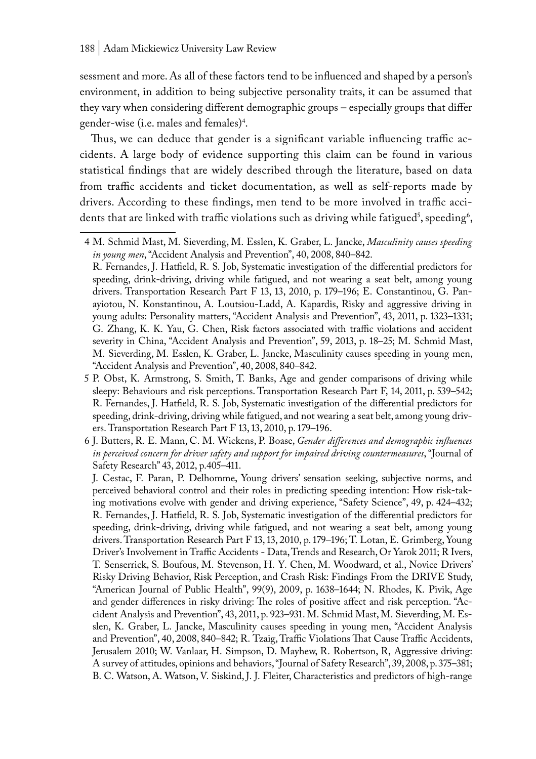sessment and more. As all of these factors tend to be influenced and shaped by a person's environment, in addition to being subjective personality traits, it can be assumed that they vary when considering different demographic groups – especially groups that differ gender-wise (i.e. males and females)<sup>4</sup>.

Thus, we can deduce that gender is a significant variable influencing traffic accidents. A large body of evidence supporting this claim can be found in various statistical findings that are widely described through the literature, based on data from traffic accidents and ticket documentation, as well as self-reports made by drivers. According to these findings, men tend to be more involved in traffic accidents that are linked with traffic violations such as driving while fatigued<sup>s</sup>, speeding<sup>6</sup>,

J. Cestac, F. Paran, P. Delhomme, Young drivers' sensation seeking, subjective norms, and perceived behavioral control and their roles in predicting speeding intention: How risk-taking motivations evolve with gender and driving experience, "Safety Science", 49, p. 424–432; R. Fernandes, J. Hatfield, R. S. Job, Systematic investigation of the differential predictors for speeding, drink-driving, driving while fatigued, and not wearing a seat belt, among young drivers. Transportation Research Part F 13, 13, 2010, p. 179–196; T. Lotan, E. Grimberg, Young Driver's Involvement in Traffic Accidents - Data, Trends and Research, Or Yarok 2011; R Ivers, T. Senserrick, S. Boufous, M. Stevenson, H. Y. Chen, M. Woodward, et al., Novice Drivers' Risky Driving Behavior, Risk Perception, and Crash Risk: Findings From the DRIVE Study, "American Journal of Public Health", 99(9), 2009, p. 1638–1644; N. Rhodes, K. Pivik, Age and gender differences in risky driving: The roles of positive affect and risk perception. "Accident Analysis and Prevention", 43, 2011, p. 923–931. M. Schmid Mast, M. Sieverding, M. Esslen, K. Graber, L. Jancke, Masculinity causes speeding in young men, "Accident Analysis and Prevention", 40, 2008, 840–842; R. Tzaig, Traffic Violations That Cause Traffic Accidents, Jerusalem 2010; W. Vanlaar, H. Simpson, D. Mayhew, R. Robertson, R, Aggressive driving: A survey of attitudes, opinions and behaviors, "Journal of Safety Research", 39, 2008, p. 375–381; B. C. Watson, A. Watson, V. Siskind, J. J. Fleiter, Characteristics and predictors of high-range

<sup>4</sup> M. Schmid Mast, M. Sieverding, M. Esslen, K. Graber, L. Jancke, *Masculinity causes speeding in young men*, "Accident Analysis and Prevention", 40, 2008, 840–842.

R. Fernandes, J. Hatfield, R. S. Job, Systematic investigation of the differential predictors for speeding, drink-driving, driving while fatigued, and not wearing a seat belt, among young drivers. Transportation Research Part F 13, 13, 2010, p. 179–196; E. Constantinou, G. Panayiotou, N. Konstantinou, A. Loutsiou-Ladd, A. Kapardis, Risky and aggressive driving in young adults: Personality matters, "Accident Analysis and Prevention", 43, 2011, p. 1323–1331; G. Zhang, K. K. Yau, G. Chen, Risk factors associated with traffic violations and accident severity in China, "Accident Analysis and Prevention", 59, 2013, p. 18–25; M. Schmid Mast, M. Sieverding, M. Esslen, K. Graber, L. Jancke, Masculinity causes speeding in young men, "Accident Analysis and Prevention", 40, 2008, 840–842.

<sup>5</sup> P. Obst, K. Armstrong, S. Smith, T. Banks, Age and gender comparisons of driving while sleepy: Behaviours and risk perceptions. Transportation Research Part F, 14, 2011, p. 539–542; R. Fernandes, J. Hatfield, R. S. Job, Systematic investigation of the differential predictors for speeding, drink-driving, driving while fatigued, and not wearing a seat belt, among young drivers. Transportation Research Part F 13, 13, 2010, p. 179–196.

<sup>6</sup> J. Butters, R. E. Mann, C. M. Wickens, P. Boase, *Gender differences and demographic influences in perceived concern for driver safety and support for impaired driving countermeasures*, "Journal of Safety Research" 43, 2012, p.405–411.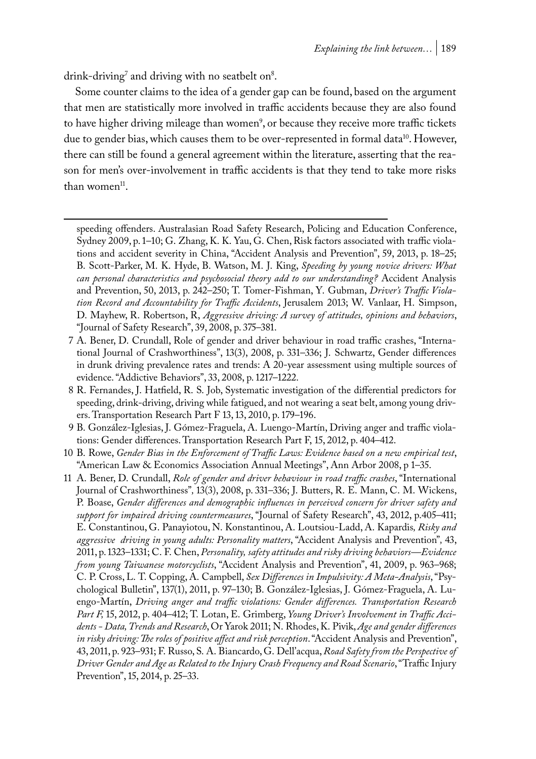drink-driving $\alpha$  and driving with no seatbelt on $\alpha$ .

Some counter claims to the idea of a gender gap can be found, based on the argument that men are statistically more involved in traffic accidents because they are also found to have higher driving mileage than women<sup>9</sup>, or because they receive more traffic tickets due to gender bias, which causes them to be over-represented in formal data<sup>10</sup>. However, there can still be found a general agreement within the literature, asserting that the reason for men's over-involvement in traffic accidents is that they tend to take more risks than women<sup>11</sup>.

- 7 A. Bener, D. Crundall, Role of gender and driver behaviour in road traffic crashes, "International Journal of Crashworthiness", 13(3), 2008, p. 331–336; J. Schwartz, Gender differences in drunk driving prevalence rates and trends: A 20-year assessment using multiple sources of evidence. "Addictive Behaviors", 33, 2008, p. 1217–1222.
- 8 R. Fernandes, J. Hatfield, R. S. Job, Systematic investigation of the differential predictors for speeding, drink-driving, driving while fatigued, and not wearing a seat belt, among young drivers. Transportation Research Part F 13, 13, 2010, p. 179–196.
- 9 B. González-Iglesias, J. Gómez-Fraguela, A. Luengo-Martín, Driving anger and traffic violations: Gender differences. Transportation Research Part F, 15, 2012, p. 404–412.
- 10 B. Rowe, *Gender Bias in the Enforcement of Traffic Laws: Evidence based on a new empirical test*, "American Law & Economics Association Annual Meetings", Ann Arbor 2008, p 1–35.
- 11 A. Bener, D. Crundall, *Role of gender and driver behaviour in road traffic crashes*, "International Journal of Crashworthiness"*,* 13(3), 2008, p. 331–336; J. Butters, R. E. Mann, C. M. Wickens, P. Boase, *Gender differences and demographic influences in perceived concern for driver safety and support for impaired driving countermeasures*, "Journal of Safety Research", 43, 2012, p.405–411; E. Constantinou, G. Panayiotou, N. Konstantinou, A. Loutsiou-Ladd, A. Kapardis*, Risky and aggressive driving in young adults: Personality matters*, "Accident Analysis and Prevention"*,* 43, 2011, p. 1323–1331; C. F. Chen, *Personality, safety attitudes and risky driving behaviors—Evidence from young Taiwanese motorcyclists*, "Accident Analysis and Prevention", 41, 2009, p. 963–968; C. P. Cross, L. T. Copping, A. Campbell, *Sex Differences in Impulsivity: A Meta-Analysis*, "Psychological Bulletin", 137(1), 2011, p. 97–130; B. González-Iglesias, J. Gómez-Fraguela, A. Luengo-Martín, *Driving anger and traffic violations: Gender differences. Transportation Research Part F,* 15, 2012, p. 404–412; T. Lotan, E. Grimberg, *Young Driver's Involvement in Traffic Accidents - Data, Trends and Research*, Or Yarok 2011; N. Rhodes, K. Pivik, *Age and gender differences in risky driving: The roles of positive affect and risk perception*. "Accident Analysis and Prevention", 43, 2011, p. 923–931; F. Russo, S. A. Biancardo, G. Dell'acqua, *Road Safety from the Perspective of Driver Gender and Age as Related to the Injury Crash Frequency and Road Scenario*, "Traffic Injury Prevention", 15, 2014, p. 25–33.

speeding offenders. Australasian Road Safety Research, Policing and Education Conference, Sydney 2009, p. 1–10; G. Zhang, K. K. Yau, G. Chen, Risk factors associated with traffic violations and accident severity in China, "Accident Analysis and Prevention", 59, 2013, p. 18–25; B. Scott-Parker, M. K. Hyde, B. Watson, M. J. King, *Speeding by young novice drivers: What can personal characteristics and psychosocial theory add to our understanding?* Accident Analysis and Prevention, 50, 2013, p. 242–250; T. Tomer-Fishman, Y. Gubman, *Driver's Traffic Violation Record and Accountability for Traffic Accidents*, Jerusalem 2013; W. Vanlaar, H. Simpson, D. Mayhew, R. Robertson, R, *Aggressive driving: A survey of attitudes, opinions and behaviors*, "Journal of Safety Research", 39, 2008, p. 375–381.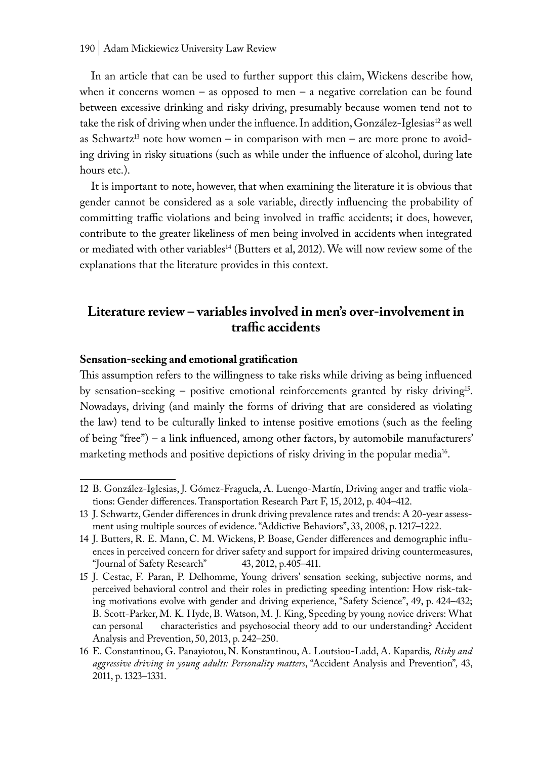In an article that can be used to further support this claim, Wickens describe how, when it concerns women – as opposed to men – a negative correlation can be found between excessive drinking and risky driving, presumably because women tend not to take the risk of driving when under the influence. In addition, González-Iglesias<sup>12</sup> as well as Schwartz<sup>13</sup> note how women – in comparison with men – are more prone to avoiding driving in risky situations (such as while under the influence of alcohol, during late hours etc.).

It is important to note, however, that when examining the literature it is obvious that gender cannot be considered as a sole variable, directly influencing the probability of committing traffic violations and being involved in traffic accidents; it does, however, contribute to the greater likeliness of men being involved in accidents when integrated or mediated with other variables<sup>14</sup> (Butters et al, 2012). We will now review some of the explanations that the literature provides in this context.

# **Literature review – variables involved in men's over-involvement in traffic accidents**

### **Sensation-seeking and emotional gratification**

This assumption refers to the willingness to take risks while driving as being influenced by sensation-seeking – positive emotional reinforcements granted by risky driving15. Nowadays, driving (and mainly the forms of driving that are considered as violating the law) tend to be culturally linked to intense positive emotions (such as the feeling of being "free") – a link influenced, among other factors, by automobile manufacturers' marketing methods and positive depictions of risky driving in the popular media<sup>16</sup>.

<sup>12</sup> B. González-Iglesias, J. Gómez-Fraguela, A. Luengo-Martín, Driving anger and traffic violations: Gender differences. Transportation Research Part F, 15, 2012, p. 404–412.

<sup>13</sup> J. Schwartz, Gender differences in drunk driving prevalence rates and trends: A 20-year assessment using multiple sources of evidence. "Addictive Behaviors", 33, 2008, p. 1217–1222.

<sup>14</sup> J. Butters, R. E. Mann, C. M. Wickens, P. Boase, Gender differences and demographic influences in perceived concern for driver safety and support for impaired driving countermeasures,<br>"Journal of Safety Research" 43, 2012, p.405–411. "Journal of Safety Research"

<sup>15</sup> J. Cestac, F. Paran, P. Delhomme, Young drivers' sensation seeking, subjective norms, and perceived behavioral control and their roles in predicting speeding intention: How risk-taking motivations evolve with gender and driving experience, "Safety Science", 49, p. 424–432; B. Scott-Parker, M. K. Hyde, B. Watson, M. J. King, Speeding by young novice drivers: What can personal characteristics and psychosocial theory add to our understanding? Accident Analysis and Prevention, 50, 2013, p. 242–250.

<sup>16</sup> E. Constantinou, G. Panayiotou, N. Konstantinou, A. Loutsiou-Ladd, A. Kapardis*, Risky and aggressive driving in young adults: Personality matters*, "Accident Analysis and Prevention"*,* 43, 2011, p. 1323–1331.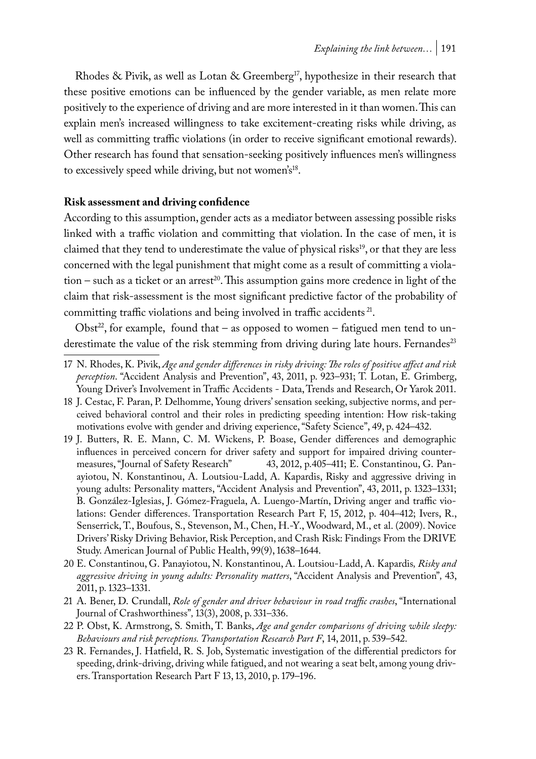Rhodes & Pivik, as well as Lotan & Greemberg<sup>17</sup>, hypothesize in their research that these positive emotions can be influenced by the gender variable, as men relate more positively to the experience of driving and are more interested in it than women. This can explain men's increased willingness to take excitement-creating risks while driving, as well as committing traffic violations (in order to receive significant emotional rewards). Other research has found that sensation-seeking positively influences men's willingness to excessively speed while driving, but not women's<sup>18</sup>.

## **Risk assessment and driving confidence**

According to this assumption, gender acts as a mediator between assessing possible risks linked with a traffic violation and committing that violation. In the case of men, it is claimed that they tend to underestimate the value of physical risks<sup>19</sup>, or that they are less concerned with the legal punishment that might come as a result of committing a violation – such as a ticket or an arrest<sup>20</sup>. This assumption gains more credence in light of the claim that risk-assessment is the most significant predictive factor of the probability of committing traffic violations and being involved in traffic accidents<sup>21</sup>.

Obst<sup>22</sup>, for example, found that – as opposed to women – fatigued men tend to underestimate the value of the risk stemming from driving during late hours. Fernandes<sup>23</sup>

- 21 A. Bener, D. Crundall, *Role of gender and driver behaviour in road traffic crashes*, "International Journal of Crashworthiness"*,* 13(3), 2008, p. 331–336.
- 22 P. Obst, K. Armstrong, S. Smith, T. Banks, *Age and gender comparisons of driving while sleepy: Behaviours and risk perceptions. Transportation Research Part F*, 14, 2011, p. 539–542.
- 23 R. Fernandes, J. Hatfield, R. S. Job, Systematic investigation of the differential predictors for speeding, drink-driving, driving while fatigued, and not wearing a seat belt, among young drivers. Transportation Research Part F 13, 13, 2010, p. 179–196.

<sup>17</sup> N. Rhodes, K. Pivik, *Age and gender differences in risky driving: The roles of positive affect and risk perception*. "Accident Analysis and Prevention", 43, 2011, p. 923–931; T. Lotan, E. Grimberg, Young Driver's Involvement in Traffic Accidents - Data, Trends and Research, Or Yarok 2011.

<sup>18</sup> J. Cestac, F. Paran, P. Delhomme, Young drivers' sensation seeking, subjective norms, and perceived behavioral control and their roles in predicting speeding intention: How risk-taking motivations evolve with gender and driving experience, "Safety Science", 49, p. 424–432.

<sup>19</sup> J. Butters, R. E. Mann, C. M. Wickens, P. Boase, Gender differences and demographic influences in perceived concern for driver safety and support for impaired driving counter-<br>measures, "Journal of Safety Research" 43, 2012, p.405–411; E. Constantinou, G. Pan-43, 2012, p.405–411; E. Constantinou, G. Panayiotou, N. Konstantinou, A. Loutsiou-Ladd, A. Kapardis, Risky and aggressive driving in young adults: Personality matters, "Accident Analysis and Prevention", 43, 2011, p. 1323–1331; B. González-Iglesias, J. Gómez-Fraguela, A. Luengo-Martín, Driving anger and traffic violations: Gender differences. Transportation Research Part F, 15, 2012, p. 404–412; Ivers, R., Senserrick, T., Boufous, S., Stevenson, M., Chen, H.-Y., Woodward, M., et al. (2009). Novice Drivers' Risky Driving Behavior, Risk Perception, and Crash Risk: Findings From the DRIVE Study. American Journal of Public Health, 99(9), 1638–1644.

<sup>20</sup> E. Constantinou, G. Panayiotou, N. Konstantinou, A. Loutsiou-Ladd, A. Kapardis*, Risky and aggressive driving in young adults: Personality matters*, "Accident Analysis and Prevention"*,* 43, 2011, p. 1323–1331.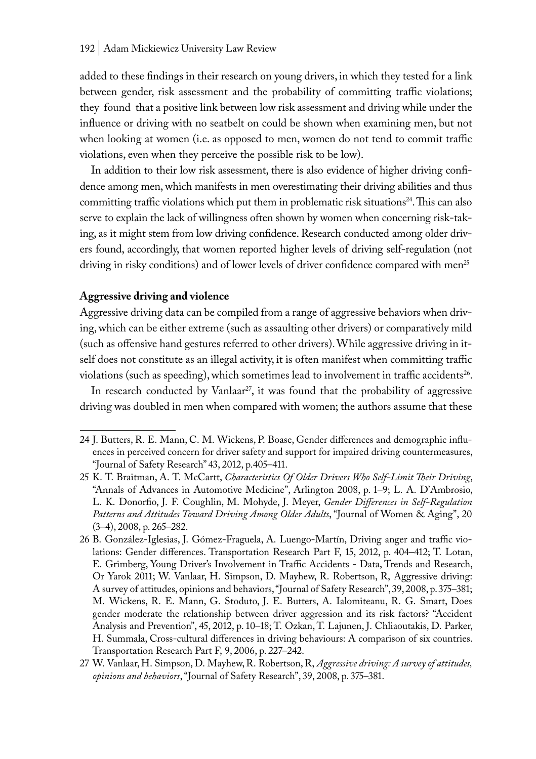added to these findings in their research on young drivers, in which they tested for a link between gender, risk assessment and the probability of committing traffic violations; they found that a positive link between low risk assessment and driving while under the influence or driving with no seatbelt on could be shown when examining men, but not when looking at women (i.e. as opposed to men, women do not tend to commit traffic violations, even when they perceive the possible risk to be low).

In addition to their low risk assessment, there is also evidence of higher driving confidence among men, which manifests in men overestimating their driving abilities and thus committing traffic violations which put them in problematic risk situations<sup>24</sup>. This can also serve to explain the lack of willingness often shown by women when concerning risk-taking, as it might stem from low driving confidence. Research conducted among older drivers found, accordingly, that women reported higher levels of driving self-regulation (not driving in risky conditions) and of lower levels of driver confidence compared with men<sup>25</sup>

### **Aggressive driving and violence**

Aggressive driving data can be compiled from a range of aggressive behaviors when driving, which can be either extreme (such as assaulting other drivers) or comparatively mild (such as offensive hand gestures referred to other drivers). While aggressive driving in itself does not constitute as an illegal activity, it is often manifest when committing traffic violations (such as speeding), which sometimes lead to involvement in traffic accidents<sup>26</sup>.

In research conducted by Vanlaar<sup>27</sup>, it was found that the probability of aggressive driving was doubled in men when compared with women; the authors assume that these

<sup>24</sup> J. Butters, R. E. Mann, C. M. Wickens, P. Boase, Gender differences and demographic influences in perceived concern for driver safety and support for impaired driving countermeasures, "Journal of Safety Research" 43, 2012, p.405–411.

<sup>25</sup> K. T. Braitman, A. T. McCartt, *Characteristics Of Older Drivers Who Self-Limit Their Driving*, "Annals of Advances in Automotive Medicine", Arlington 2008, p. 1–9; L. A. D'Ambrosio, L. K. Donorfio, J. F. Coughlin, M. Mohyde, J. Meyer, *Gender Differences in Self-Regulation Patterns and Attitudes Toward Driving Among Older Adults*, "Journal of Women & Aging", 20 (3–4), 2008, p. 265–282.

<sup>26</sup> B. González-Iglesias, J. Gómez-Fraguela, A. Luengo-Martín, Driving anger and traffic violations: Gender differences. Transportation Research Part F, 15, 2012, p. 404–412; T. Lotan, E. Grimberg, Young Driver's Involvement in Traffic Accidents - Data, Trends and Research, Or Yarok 2011; W. Vanlaar, H. Simpson, D. Mayhew, R. Robertson, R, Aggressive driving: A survey of attitudes, opinions and behaviors, "Journal of Safety Research", 39, 2008, p. 375–381; M. Wickens, R. E. Mann, G. Stoduto, J. E. Butters, A. Ialomiteanu, R. G. Smart, Does gender moderate the relationship between driver aggression and its risk factors? "Accident Analysis and Prevention", 45, 2012, p. 10–18; T. Ozkan, T. Lajunen, J. Chliaoutakis, D. Parker, H. Summala, Cross-cultural differences in driving behaviours: A comparison of six countries. Transportation Research Part F, 9, 2006, p. 227–242.

<sup>27</sup> W. Vanlaar, H. Simpson, D. Mayhew, R. Robertson, R, *Aggressive driving: A survey of attitudes, opinions and behaviors*, "Journal of Safety Research", 39, 2008, p. 375–381.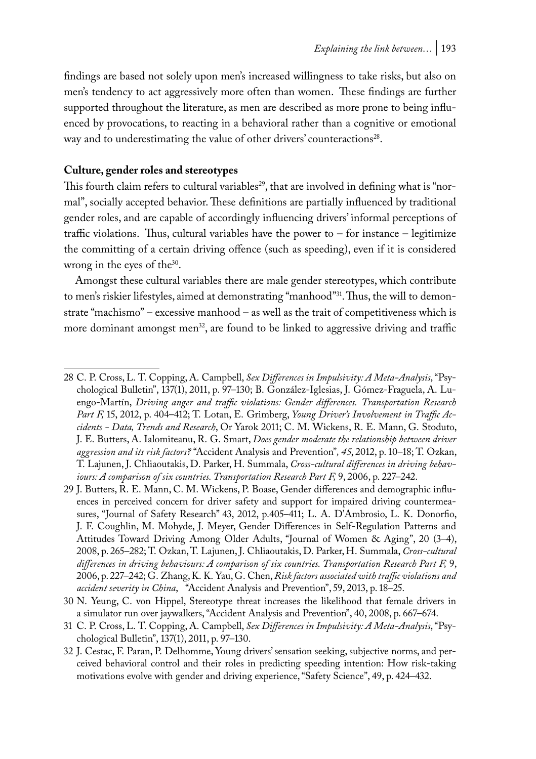findings are based not solely upon men's increased willingness to take risks, but also on men's tendency to act aggressively more often than women. These findings are further supported throughout the literature, as men are described as more prone to being influenced by provocations, to reacting in a behavioral rather than a cognitive or emotional way and to underestimating the value of other drivers' counteractions<sup>28</sup>.

#### **Culture, gender roles and stereotypes**

This fourth claim refers to cultural variables<sup>29</sup>, that are involved in defining what is "normal", socially accepted behavior. These definitions are partially influenced by traditional gender roles, and are capable of accordingly influencing drivers' informal perceptions of traffic violations. Thus, cultural variables have the power to  $-$  for instance  $-$  legitimize the committing of a certain driving offence (such as speeding), even if it is considered wrong in the eyes of the<sup>30</sup>.

Amongst these cultural variables there are male gender stereotypes, which contribute to men's riskier lifestyles, aimed at demonstrating "manhood"31. Thus, the will to demonstrate "machismo" – excessive manhood – as well as the trait of competitiveness which is more dominant amongst men<sup>32</sup>, are found to be linked to aggressive driving and traffic

<sup>28</sup> C. P. Cross, L. T. Copping, A. Campbell, *Sex Differences in Impulsivity: A Meta-Analysis*, "Psychological Bulletin", 137(1), 2011, p. 97–130; B. González-Iglesias, J. Gómez-Fraguela, A. Luengo-Martín, *Driving anger and traffic violations: Gender differences. Transportation Research Part F,* 15, 2012, p. 404–412; T. Lotan, E. Grimberg, *Young Driver's Involvement in Traffic Accidents - Data, Trends and Research*, Or Yarok 2011; C. M. Wickens, R. E. Mann, G. Stoduto, J. E. Butters, A. Ialomiteanu, R. G. Smart, *Does gender moderate the relationship between driver aggression and its risk factors?* "Accident Analysis and Prevention"*, 45*, 2012, p. 10–18; T. Ozkan, T. Lajunen, J. Chliaoutakis, D. Parker, H. Summala, *Cross-cultural differences in driving behav*iours: A comparison of six countries. Transportation Research Part F, 9, 2006, p. 227–242.

<sup>29</sup> J. Butters, R. E. Mann, C. M. Wickens, P. Boase, Gender differences and demographic influences in perceived concern for driver safety and support for impaired driving countermeasures, "Journal of Safety Research" 43, 2012, p.405–411; L. A. D'Ambrosio, L. K. Donorfio, J. F. Coughlin, M. Mohyde, J. Meyer, Gender Differences in Self-Regulation Patterns and Attitudes Toward Driving Among Older Adults, "Journal of Women & Aging", 20 (3–4), 2008, p. 265–282; T. Ozkan, T. Lajunen, J. Chliaoutakis, D. Parker, H. Summala, *Cross-cultural differences in driving behaviours: A comparison of six countries. Transportation Research Part F,* 9, 2006, p. 227–242; G. Zhang, K. K. Yau, G. Chen, *Risk factors associated with traffic violations and accident severity in China*, "Accident Analysis and Prevention", 59, 2013, p. 18–25.

<sup>30</sup> N. Yeung, C. von Hippel, Stereotype threat increases the likelihood that female drivers in a simulator run over jaywalkers, "Accident Analysis and Prevention", 40, 2008, p. 667–674.

<sup>31</sup> C. P. Cross, L. T. Copping, A. Campbell, *Sex Differences in Impulsivity: A Meta-Analysis*, "Psychological Bulletin", 137(1), 2011, p. 97–130.

<sup>32</sup> J. Cestac, F. Paran, P. Delhomme, Young drivers' sensation seeking, subjective norms, and perceived behavioral control and their roles in predicting speeding intention: How risk-taking motivations evolve with gender and driving experience, "Safety Science", 49, p. 424–432.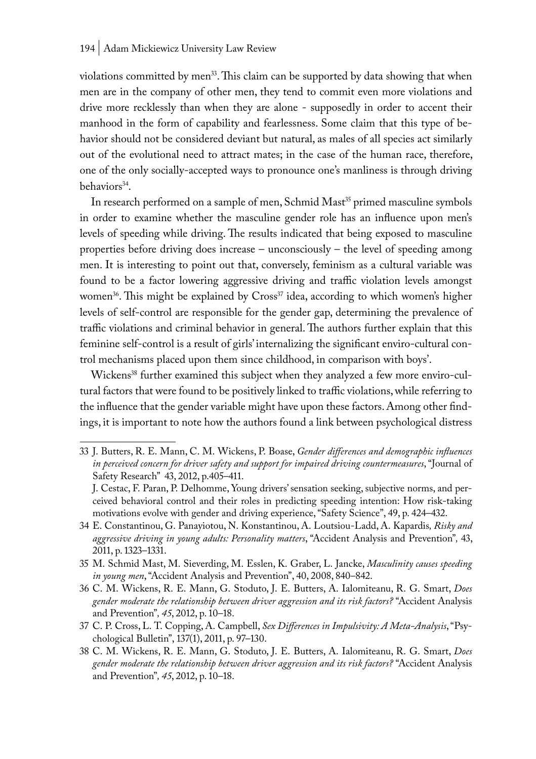violations committed by men<sup>33</sup>. This claim can be supported by data showing that when men are in the company of other men, they tend to commit even more violations and drive more recklessly than when they are alone - supposedly in order to accent their manhood in the form of capability and fearlessness. Some claim that this type of behavior should not be considered deviant but natural, as males of all species act similarly out of the evolutional need to attract mates; in the case of the human race, therefore, one of the only socially-accepted ways to pronounce one's manliness is through driving behaviors<sup>34</sup>.

In research performed on a sample of men, Schmid Mast<sup>35</sup> primed masculine symbols in order to examine whether the masculine gender role has an influence upon men's levels of speeding while driving. The results indicated that being exposed to masculine properties before driving does increase – unconsciously – the level of speeding among men. It is interesting to point out that, conversely, feminism as a cultural variable was found to be a factor lowering aggressive driving and traffic violation levels amongst women<sup>36</sup>. This might be explained by Cross<sup>37</sup> idea, according to which women's higher levels of self-control are responsible for the gender gap, determining the prevalence of traffic violations and criminal behavior in general. The authors further explain that this feminine self-control is a result of girls' internalizing the significant enviro-cultural control mechanisms placed upon them since childhood, in comparison with boys'.

Wickens<sup>38</sup> further examined this subject when they analyzed a few more enviro-cultural factors that were found to be positively linked to traffic violations, while referring to the influence that the gender variable might have upon these factors. Among other findings, it is important to note how the authors found a link between psychological distress

<sup>33</sup> J. Butters, R. E. Mann, C. M. Wickens, P. Boase, *Gender differences and demographic influences in perceived concern for driver safety and support for impaired driving countermeasures*, "Journal of Safety Research" 43, 2012, p.405–411.

J. Cestac, F. Paran, P. Delhomme, Young drivers' sensation seeking, subjective norms, and perceived behavioral control and their roles in predicting speeding intention: How risk-taking motivations evolve with gender and driving experience, "Safety Science", 49, p. 424–432.

<sup>34</sup> E. Constantinou, G. Panayiotou, N. Konstantinou, A. Loutsiou-Ladd, A. Kapardis*, Risky and aggressive driving in young adults: Personality matters*, "Accident Analysis and Prevention"*,* 43, 2011, p. 1323–1331.

<sup>35</sup> M. Schmid Mast, M. Sieverding, M. Esslen, K. Graber, L. Jancke, *Masculinity causes speeding in young men*, "Accident Analysis and Prevention", 40, 2008, 840–842.

<sup>36</sup> C. M. Wickens, R. E. Mann, G. Stoduto, J. E. Butters, A. Ialomiteanu, R. G. Smart, *Does gender moderate the relationship between driver aggression and its risk factors?* "Accident Analysis and Prevention"*, 45*, 2012, p. 10–18.

<sup>37</sup> C. P. Cross, L. T. Copping, A. Campbell, *Sex Differences in Impulsivity: A Meta-Analysis*, "Psychological Bulletin", 137(1), 2011, p. 97–130.

<sup>38</sup> C. M. Wickens, R. E. Mann, G. Stoduto, J. E. Butters, A. Ialomiteanu, R. G. Smart, *Does gender moderate the relationship between driver aggression and its risk factors?* "Accident Analysis and Prevention"*, 45*, 2012, p. 10–18.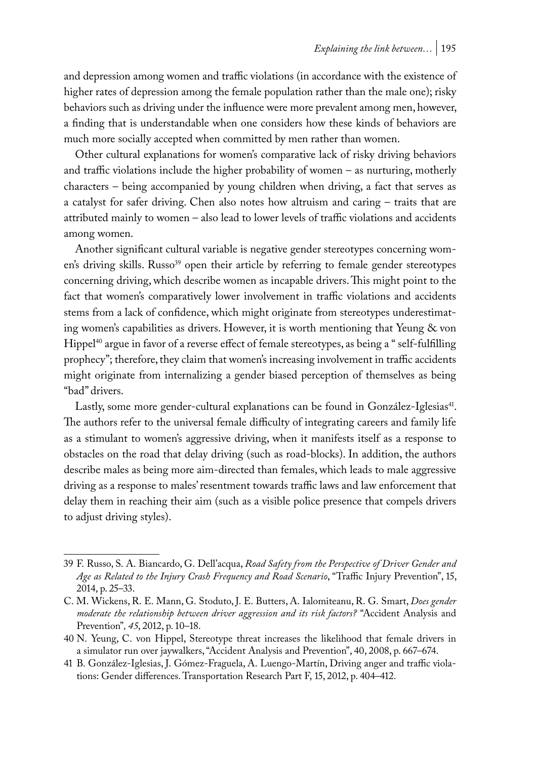and depression among women and traffic violations (in accordance with the existence of higher rates of depression among the female population rather than the male one); risky behaviors such as driving under the influence were more prevalent among men, however, a finding that is understandable when one considers how these kinds of behaviors are much more socially accepted when committed by men rather than women.

Other cultural explanations for women's comparative lack of risky driving behaviors and traffic violations include the higher probability of women – as nurturing, motherly characters – being accompanied by young children when driving, a fact that serves as a catalyst for safer driving. Chen also notes how altruism and caring – traits that are attributed mainly to women – also lead to lower levels of traffic violations and accidents among women.

Another significant cultural variable is negative gender stereotypes concerning women's driving skills. Russo<sup>39</sup> open their article by referring to female gender stereotypes concerning driving, which describe women as incapable drivers. This might point to the fact that women's comparatively lower involvement in traffic violations and accidents stems from a lack of confidence, which might originate from stereotypes underestimating women's capabilities as drivers. However, it is worth mentioning that Yeung & von Hippel<sup>40</sup> argue in favor of a reverse effect of female stereotypes, as being a " self-fulfilling prophecy"; therefore, they claim that women's increasing involvement in traffic accidents might originate from internalizing a gender biased perception of themselves as being "bad" drivers.

Lastly, some more gender-cultural explanations can be found in González-Iglesias<sup>41</sup>. The authors refer to the universal female difficulty of integrating careers and family life as a stimulant to women's aggressive driving, when it manifests itself as a response to obstacles on the road that delay driving (such as road-blocks). In addition, the authors describe males as being more aim-directed than females, which leads to male aggressive driving as a response to males' resentment towards traffic laws and law enforcement that delay them in reaching their aim (such as a visible police presence that compels drivers to adjust driving styles).

<sup>39</sup> F. Russo, S. A. Biancardo, G. Dell'acqua, *Road Safety from the Perspective of Driver Gender and Age as Related to the Injury Crash Frequency and Road Scenario*, "Traffic Injury Prevention", 15, 2014, p. 25–33.

C. M. Wickens, R. E. Mann, G. Stoduto, J. E. Butters, A. Ialomiteanu, R. G. Smart, *Does gender moderate the relationship between driver aggression and its risk factors?* "Accident Analysis and Prevention"*, 45*, 2012, p. 10–18.

<sup>40</sup> N. Yeung, C. von Hippel, Stereotype threat increases the likelihood that female drivers in a simulator run over jaywalkers, "Accident Analysis and Prevention", 40, 2008, p. 667–674.

<sup>41</sup> B. González-Iglesias, J. Gómez-Fraguela, A. Luengo-Martín, Driving anger and traffic violations: Gender differences. Transportation Research Part F, 15, 2012, p. 404–412.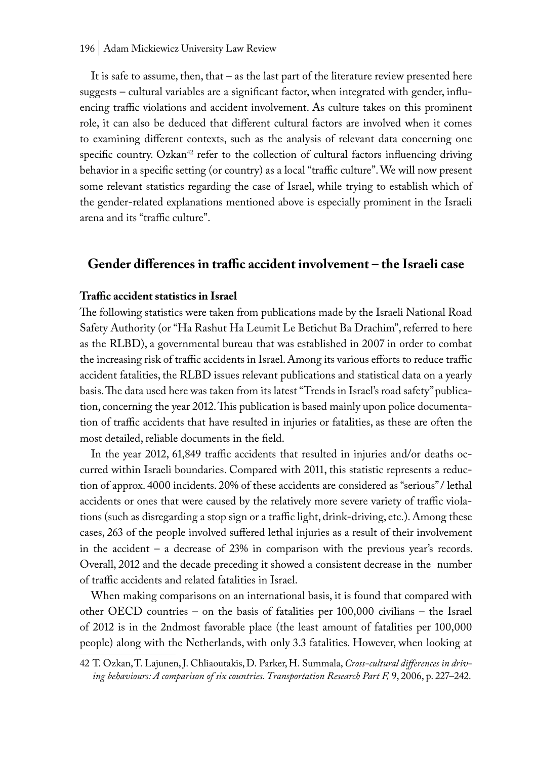#### 196 | Adam Mickiewicz University Law Review

It is safe to assume, then, that – as the last part of the literature review presented here suggests – cultural variables are a significant factor, when integrated with gender, influencing traffic violations and accident involvement. As culture takes on this prominent role, it can also be deduced that different cultural factors are involved when it comes to examining different contexts, such as the analysis of relevant data concerning one specific country. Ozkan<sup>42</sup> refer to the collection of cultural factors influencing driving behavior in a specific setting (or country) as a local "traffic culture". We will now present some relevant statistics regarding the case of Israel, while trying to establish which of the gender-related explanations mentioned above is especially prominent in the Israeli arena and its "traffic culture".

# **Gender differences in traffic accident involvement – the Israeli case**

### **Traffic accident statistics in Israel**

The following statistics were taken from publications made by the Israeli National Road Safety Authority (or "Ha Rashut Ha Leumit Le Betichut Ba Drachim", referred to here as the RLBD), a governmental bureau that was established in 2007 in order to combat the increasing risk of traffic accidents in Israel. Among its various efforts to reduce traffic accident fatalities, the RLBD issues relevant publications and statistical data on a yearly basis. The data used here was taken from its latest "Trends in Israel's road safety" publication, concerning the year 2012. This publication is based mainly upon police documentation of traffic accidents that have resulted in injuries or fatalities, as these are often the most detailed, reliable documents in the field.

In the year 2012, 61,849 traffic accidents that resulted in injuries and/or deaths occurred within Israeli boundaries. Compared with 2011, this statistic represents a reduction of approx. 4000 incidents. 20% of these accidents are considered as "serious" / lethal accidents or ones that were caused by the relatively more severe variety of traffic violations (such as disregarding a stop sign or a traffic light, drink-driving, etc.). Among these cases, 263 of the people involved suffered lethal injuries as a result of their involvement in the accident – a decrease of 23% in comparison with the previous year's records. Overall, 2012 and the decade preceding it showed a consistent decrease in the number of traffic accidents and related fatalities in Israel.

When making comparisons on an international basis, it is found that compared with other OECD countries – on the basis of fatalities per 100,000 civilians – the Israel of 2012 is in the 2ndmost favorable place (the least amount of fatalities per 100,000 people) along with the Netherlands, with only 3.3 fatalities. However, when looking at

<sup>42</sup> T. Ozkan, T. Lajunen, J. Chliaoutakis, D. Parker, H. Summala, *Cross-cultural differences in driving behaviours: A comparison of six countries. Transportation Research Part F,* 9, 2006, p. 227–242.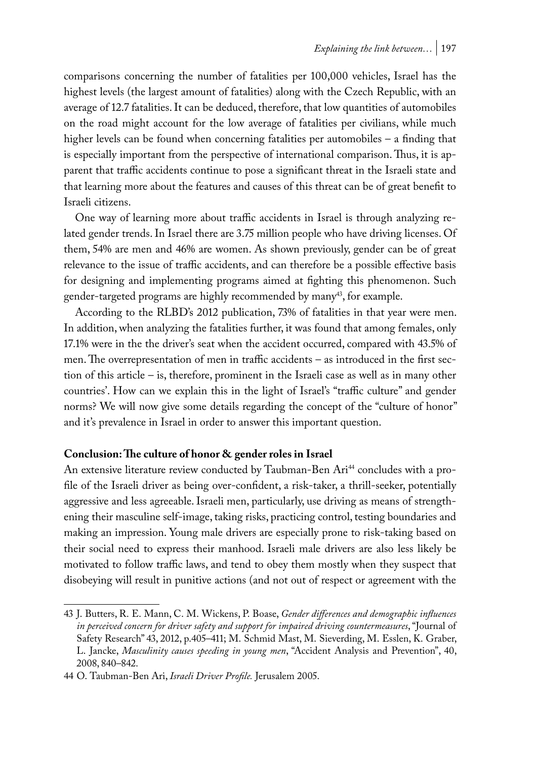comparisons concerning the number of fatalities per 100,000 vehicles, Israel has the highest levels (the largest amount of fatalities) along with the Czech Republic, with an average of 12.7 fatalities. It can be deduced, therefore, that low quantities of automobiles on the road might account for the low average of fatalities per civilians, while much higher levels can be found when concerning fatalities per automobiles – a finding that is especially important from the perspective of international comparison. Thus, it is apparent that traffic accidents continue to pose a significant threat in the Israeli state and that learning more about the features and causes of this threat can be of great benefit to Israeli citizens.

One way of learning more about traffic accidents in Israel is through analyzing related gender trends. In Israel there are 3.75 million people who have driving licenses. Of them, 54% are men and 46% are women. As shown previously, gender can be of great relevance to the issue of traffic accidents, and can therefore be a possible effective basis for designing and implementing programs aimed at fighting this phenomenon. Such gender-targeted programs are highly recommended by many<sup>43</sup>, for example.

According to the RLBD's 2012 publication, 73% of fatalities in that year were men. In addition, when analyzing the fatalities further, it was found that among females, only 17.1% were in the the driver's seat when the accident occurred, compared with 43.5% of men. The overrepresentation of men in traffic accidents – as introduced in the first section of this article – is, therefore, prominent in the Israeli case as well as in many other countries'. How can we explain this in the light of Israel's "traffic culture" and gender norms? We will now give some details regarding the concept of the "culture of honor" and it's prevalence in Israel in order to answer this important question.

# **Conclusion: The culture of honor & gender roles in Israel**

An extensive literature review conducted by Taubman-Ben Ari<sup>44</sup> concludes with a profile of the Israeli driver as being over-confident, a risk-taker, a thrill-seeker, potentially aggressive and less agreeable. Israeli men, particularly, use driving as means of strengthening their masculine self-image, taking risks, practicing control, testing boundaries and making an impression. Young male drivers are especially prone to risk-taking based on their social need to express their manhood. Israeli male drivers are also less likely be motivated to follow traffic laws, and tend to obey them mostly when they suspect that disobeying will result in punitive actions (and not out of respect or agreement with the

<sup>43</sup> J. Butters, R. E. Mann, C. M. Wickens, P. Boase, *Gender differences and demographic influences in perceived concern for driver safety and support for impaired driving countermeasures*, "Journal of Safety Research" 43, 2012, p.405–411; M. Schmid Mast, M. Sieverding, M. Esslen, K. Graber, L. Jancke, *Masculinity causes speeding in young men*, "Accident Analysis and Prevention", 40, 2008, 840–842.

<sup>44</sup> O. Taubman-Ben Ari, *Israeli Driver Profile.* Jerusalem 2005.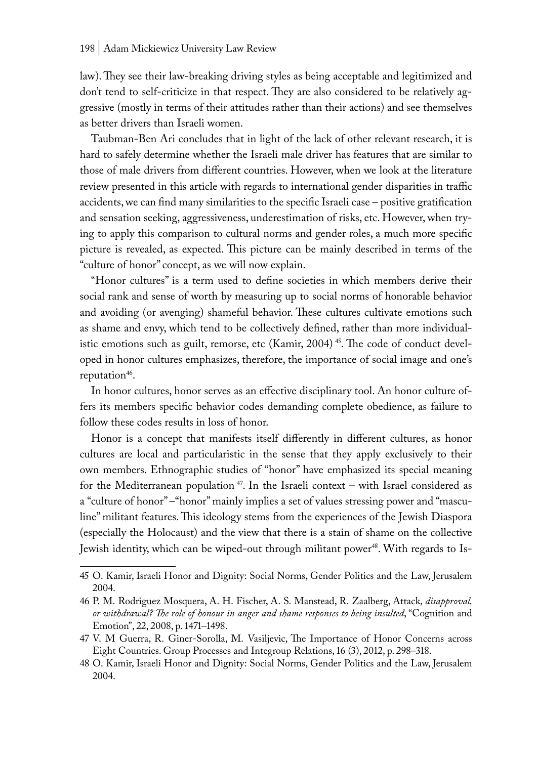law). They see their law-breaking driving styles as being acceptable and legitimized and don't tend to self-criticize in that respect. They are also considered to be relatively aggressive (mostly in terms of their attitudes rather than their actions) and see themselves as better drivers than Israeli women.

Taubman-Ben Ari concludes that in light of the lack of other relevant research, it is hard to safely determine whether the Israeli male driver has features that are similar to those of male drivers from different countries. However, when we look at the literature review presented in this article with regards to international gender disparities in traffic accidents, we can find many similarities to the specific Israeli case – positive gratification and sensation seeking, aggressiveness, underestimation of risks, etc. However, when trying to apply this comparison to cultural norms and gender roles, a much more specific picture is revealed, as expected. This picture can be mainly described in terms of the "culture of honor" concept, as we will now explain.

"Honor cultures" is a term used to define societies in which members derive their social rank and sense of worth by measuring up to social norms of honorable behavior and avoiding (or avenging) shameful behavior. These cultures cultivate emotions such as shame and envy, which tend to be collectively defined, rather than more individualistic emotions such as guilt, remorse, etc (Kamir,  $2004$ )<sup>45</sup>. The code of conduct developed in honor cultures emphasizes, therefore, the importance of social image and one's reputation $46$ .

In honor cultures, honor serves as an effective disciplinary tool. An honor culture offers its members specific behavior codes demanding complete obedience, as failure to follow these codes results in loss of honor.

Honor is a concept that manifests itself differently in different cultures, as honor cultures are local and particularistic in the sense that they apply exclusively to their own members. Ethnographic studies of "honor" have emphasized its special meaning for the Mediterranean population<sup>47</sup>. In the Israeli context – with Israel considered as a "culture of honor" –"honor" mainly implies a set of values stressing power and "masculine" militant features. This ideology stems from the experiences of the Jewish Diaspora (especially the Holocaust) and the view that there is a stain of shame on the collective Jewish identity, which can be wiped-out through militant power<sup>48</sup>. With regards to Is-

<sup>45</sup> O. Kamir, Israeli Honor and Dignity: Social Norms, Gender Politics and the Law, Jerusalem 2004.

<sup>46</sup> P. M. Rodriguez Mosquera, A. H. Fischer, A. S. Manstead, R. Zaalberg, Attack*, disapproval, or withdrawal? The role of honour in anger and shame responses to being insulted*, "Cognition and Emotion", 22, 2008, p. 1471–1498.

<sup>47</sup> V. M Guerra, R. Giner-Sorolla, M. Vasiljevic, The Importance of Honor Concerns across Eight Countries. Group Processes and Integroup Relations, 16 (3), 2012, p. 298–318.

<sup>48</sup> O. Kamir, Israeli Honor and Dignity: Social Norms, Gender Politics and the Law, Jerusalem 2004.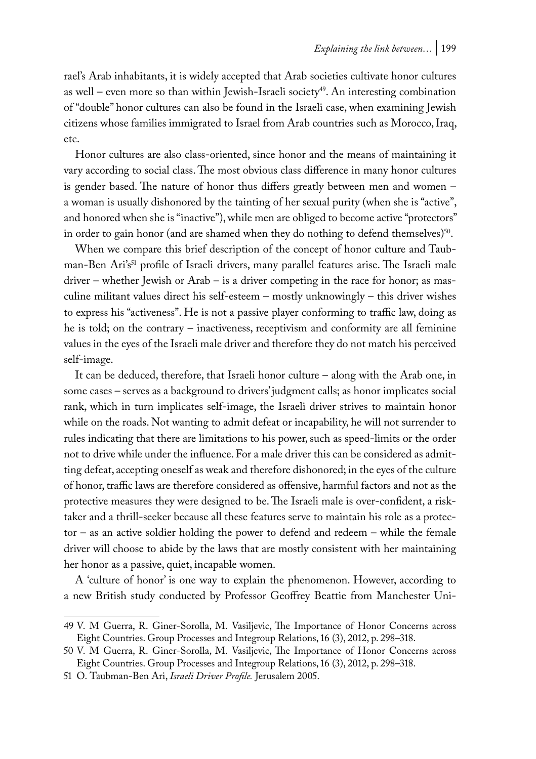rael's Arab inhabitants, it is widely accepted that Arab societies cultivate honor cultures as well – even more so than within Jewish-Israeli society<sup>49</sup>. An interesting combination of "double" honor cultures can also be found in the Israeli case, when examining Jewish citizens whose families immigrated to Israel from Arab countries such as Morocco, Iraq, etc.

Honor cultures are also class-oriented, since honor and the means of maintaining it vary according to social class. The most obvious class difference in many honor cultures is gender based. The nature of honor thus differs greatly between men and women – a woman is usually dishonored by the tainting of her sexual purity (when she is "active", and honored when she is "inactive"), while men are obliged to become active "protectors" in order to gain honor (and are shamed when they do nothing to defend themselves) $50$ .

When we compare this brief description of the concept of honor culture and Taubman-Ben Ari's<sup>51</sup> profile of Israeli drivers, many parallel features arise. The Israeli male driver – whether Jewish or Arab – is a driver competing in the race for honor; as masculine militant values direct his self-esteem – mostly unknowingly – this driver wishes to express his "activeness". He is not a passive player conforming to traffic law, doing as he is told; on the contrary – inactiveness, receptivism and conformity are all feminine values in the eyes of the Israeli male driver and therefore they do not match his perceived self-image.

It can be deduced, therefore, that Israeli honor culture – along with the Arab one, in some cases – serves as a background to drivers' judgment calls; as honor implicates social rank, which in turn implicates self-image, the Israeli driver strives to maintain honor while on the roads. Not wanting to admit defeat or incapability, he will not surrender to rules indicating that there are limitations to his power, such as speed-limits or the order not to drive while under the influence. For a male driver this can be considered as admitting defeat, accepting oneself as weak and therefore dishonored; in the eyes of the culture of honor, traffic laws are therefore considered as offensive, harmful factors and not as the protective measures they were designed to be. The Israeli male is over-confident, a risktaker and a thrill-seeker because all these features serve to maintain his role as a protector – as an active soldier holding the power to defend and redeem – while the female driver will choose to abide by the laws that are mostly consistent with her maintaining her honor as a passive, quiet, incapable women.

A 'culture of honor' is one way to explain the phenomenon. However, according to a new British study conducted by Professor Geoffrey Beattie from Manchester Uni-

<sup>49</sup> V. M Guerra, R. Giner-Sorolla, M. Vasiljevic, The Importance of Honor Concerns across Eight Countries. Group Processes and Integroup Relations, 16 (3), 2012, p. 298–318.

<sup>50</sup> V. M Guerra, R. Giner-Sorolla, M. Vasiljevic, The Importance of Honor Concerns across Eight Countries. Group Processes and Integroup Relations, 16 (3), 2012, p. 298–318.

<sup>51</sup> O. Taubman-Ben Ari, *Israeli Driver Profile.* Jerusalem 2005.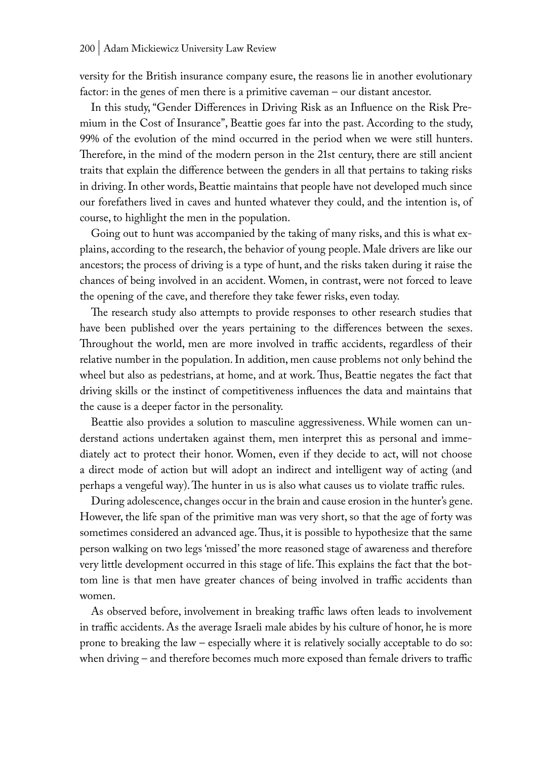versity for the British insurance company esure, the reasons lie in another evolutionary factor: in the genes of men there is a primitive caveman – our distant ancestor.

In this study, "Gender Differences in Driving Risk as an Influence on the Risk Premium in the Cost of Insurance", Beattie goes far into the past. According to the study, 99% of the evolution of the mind occurred in the period when we were still hunters. Therefore, in the mind of the modern person in the 21st century, there are still ancient traits that explain the difference between the genders in all that pertains to taking risks in driving. In other words, Beattie maintains that people have not developed much since our forefathers lived in caves and hunted whatever they could, and the intention is, of course, to highlight the men in the population.

Going out to hunt was accompanied by the taking of many risks, and this is what explains, according to the research, the behavior of young people. Male drivers are like our ancestors; the process of driving is a type of hunt, and the risks taken during it raise the chances of being involved in an accident. Women, in contrast, were not forced to leave the opening of the cave, and therefore they take fewer risks, even today.

The research study also attempts to provide responses to other research studies that have been published over the years pertaining to the differences between the sexes. Throughout the world, men are more involved in traffic accidents, regardless of their relative number in the population. In addition, men cause problems not only behind the wheel but also as pedestrians, at home, and at work. Thus, Beattie negates the fact that driving skills or the instinct of competitiveness influences the data and maintains that the cause is a deeper factor in the personality.

Beattie also provides a solution to masculine aggressiveness. While women can understand actions undertaken against them, men interpret this as personal and immediately act to protect their honor. Women, even if they decide to act, will not choose a direct mode of action but will adopt an indirect and intelligent way of acting (and perhaps a vengeful way). The hunter in us is also what causes us to violate traffic rules.

During adolescence, changes occur in the brain and cause erosion in the hunter's gene. However, the life span of the primitive man was very short, so that the age of forty was sometimes considered an advanced age. Thus, it is possible to hypothesize that the same person walking on two legs 'missed' the more reasoned stage of awareness and therefore very little development occurred in this stage of life. This explains the fact that the bottom line is that men have greater chances of being involved in traffic accidents than women.

As observed before, involvement in breaking traffic laws often leads to involvement in traffic accidents. As the average Israeli male abides by his culture of honor, he is more prone to breaking the law – especially where it is relatively socially acceptable to do so: when driving – and therefore becomes much more exposed than female drivers to traffic